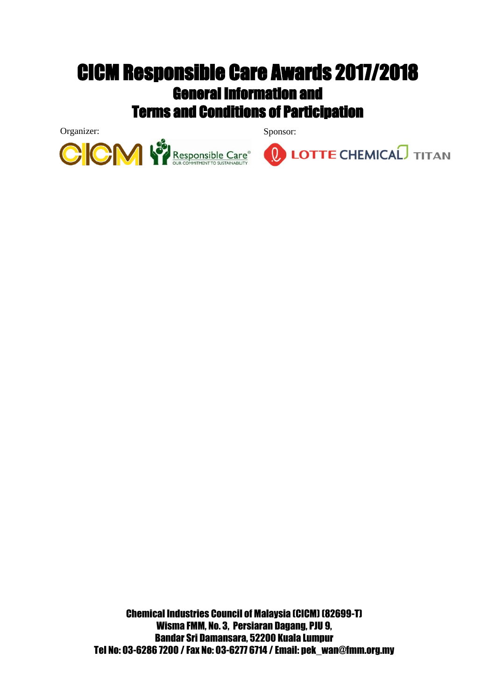Organizer: Sponsor:





Chemical Industries Council of Malaysia (CICM) (82699-T) Wisma FMM, No. 3, Persiaran Dagang, PJU 9, Bandar Sri Damansara, 52200 Kuala Lumpur Tel No: 03-6286 7200 / Fax No: 03-6277 6714 / Email: pek\_wan@fmm.org.my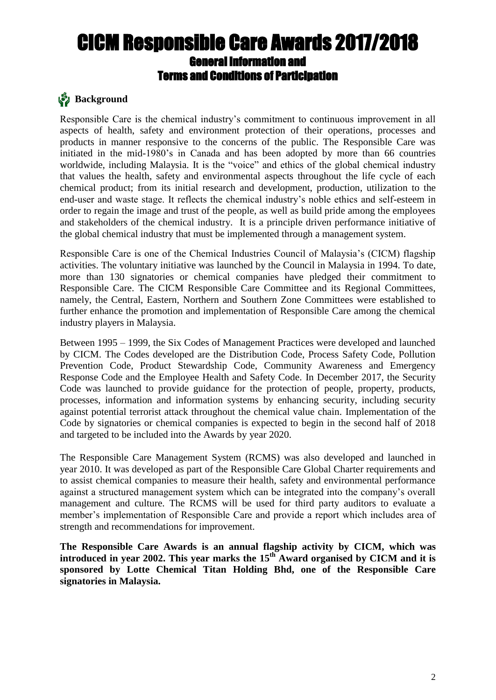## **Background**

Responsible Care is the chemical industry's commitment to continuous improvement in all aspects of health, safety and environment protection of their operations, processes and products in manner responsive to the concerns of the public. The Responsible Care was initiated in the mid-1980's in Canada and has been adopted by more than 66 countries worldwide, including Malaysia. It is the "voice" and ethics of the global chemical industry that values the health, safety and environmental aspects throughout the life cycle of each chemical product; from its initial research and development, production, utilization to the end-user and waste stage. It reflects the chemical industry's noble ethics and self-esteem in order to regain the image and trust of the people, as well as build pride among the employees and stakeholders of the chemical industry. It is a principle driven performance initiative of the global chemical industry that must be implemented through a management system.

Responsible Care is one of the Chemical Industries Council of Malaysia's (CICM) flagship activities. The voluntary initiative was launched by the Council in Malaysia in 1994. To date, more than 130 signatories or chemical companies have pledged their commitment to Responsible Care. The CICM Responsible Care Committee and its Regional Committees, namely, the Central, Eastern, Northern and Southern Zone Committees were established to further enhance the promotion and implementation of Responsible Care among the chemical industry players in Malaysia.

Between 1995 – 1999, the Six Codes of Management Practices were developed and launched by CICM. The Codes developed are the Distribution Code, Process Safety Code, Pollution Prevention Code, Product Stewardship Code, Community Awareness and Emergency Response Code and the Employee Health and Safety Code. In December 2017, the Security Code was launched to provide guidance for the protection of people, property, products, processes, information and information systems by enhancing security, including security against potential terrorist attack throughout the chemical value chain. Implementation of the Code by signatories or chemical companies is expected to begin in the second half of 2018 and targeted to be included into the Awards by year 2020.

The Responsible Care Management System (RCMS) was also developed and launched in year 2010. It was developed as part of the Responsible Care Global Charter requirements and to assist chemical companies to measure their health, safety and environmental performance against a structured management system which can be integrated into the company's overall management and culture. The RCMS will be used for third party auditors to evaluate a member's implementation of Responsible Care and provide a report which includes area of strength and recommendations for improvement.

**The Responsible Care Awards is an annual flagship activity by CICM, which was introduced in year 2002. This year marks the 15 th Award organised by CICM and it is sponsored by Lotte Chemical Titan Holding Bhd, one of the Responsible Care signatories in Malaysia.**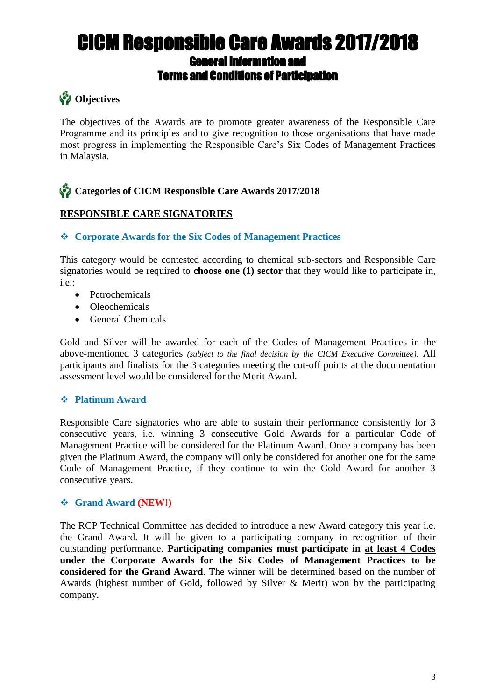## **S**<sup>2</sup> Objectives

The objectives of the Awards are to promote greater awareness of the Responsible Care Programme and its principles and to give recognition to those organisations that have made most progress in implementing the Responsible Care's Six Codes of Management Practices in Malaysia.

## **Categories of CICM Responsible Care Awards 2017/2018**

### **RESPONSIBLE CARE SIGNATORIES**

### **Corporate Awards for the Six Codes of Management Practices**

This category would be contested according to chemical sub-sectors and Responsible Care signatories would be required to **choose one (1) sector** that they would like to participate in, i.e.:

- Petrochemicals
- Oleochemicals
- General Chemicals

Gold and Silver will be awarded for each of the Codes of Management Practices in the above-mentioned 3 categories *(subject to the final decision by the CICM Executive Committee)*. All participants and finalists for the 3 categories meeting the cut-off points at the documentation assessment level would be considered for the Merit Award.

### **Platinum Award**

Responsible Care signatories who are able to sustain their performance consistently for 3 consecutive years, i.e. winning 3 consecutive Gold Awards for a particular Code of Management Practice will be considered for the Platinum Award. Once a company has been given the Platinum Award, the company will only be considered for another one for the same Code of Management Practice, if they continue to win the Gold Award for another 3 consecutive years.

### **Grand Award (NEW!)**

The RCP Technical Committee has decided to introduce a new Award category this year i.e. the Grand Award. It will be given to a participating company in recognition of their outstanding performance. **Participating companies must participate in at least 4 Codes under the Corporate Awards for the Six Codes of Management Practices to be considered for the Grand Award.** The winner will be determined based on the number of Awards (highest number of Gold, followed by Silver & Merit) won by the participating company.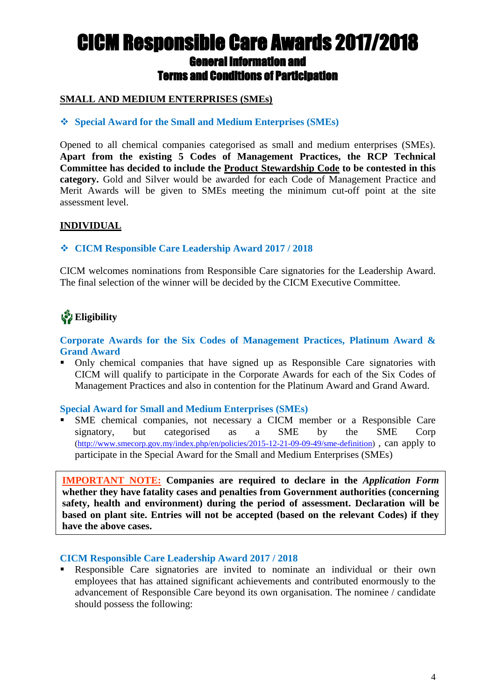### **SMALL AND MEDIUM ENTERPRISES (SMEs)**

### **Special Award for the Small and Medium Enterprises (SMEs)**

Opened to all chemical companies categorised as small and medium enterprises (SMEs). **Apart from the existing 5 Codes of Management Practices, the RCP Technical Committee has decided to include the Product Stewardship Code to be contested in this category.** Gold and Silver would be awarded for each Code of Management Practice and Merit Awards will be given to SMEs meeting the minimum cut-off point at the site assessment level.

#### **INDIVIDUAL**

### **CICM Responsible Care Leadership Award 2017 / 2018**

CICM welcomes nominations from Responsible Care signatories for the Leadership Award. The final selection of the winner will be decided by the CICM Executive Committee.

# **Eligibility**

#### **Corporate Awards for the Six Codes of Management Practices, Platinum Award & Grand Award**

• Only chemical companies that have signed up as Responsible Care signatories with CICM will qualify to participate in the Corporate Awards for each of the Six Codes of Management Practices and also in contention for the Platinum Award and Grand Award.

#### **Special Award for Small and Medium Enterprises (SMEs)**

 SME chemical companies, not necessary a CICM member or a Responsible Care signatory, but categorised as a SME by the SME Corp [\(http://www.smecorp.gov.my/index.php/en/policies/2015-12-21-09-09-49/sme-definition\)](http://www.smecorp.gov.my/index.php/en/policies/2015-12-21-09-09-49/sme-definition) , can apply to participate in the Special Award for the Small and Medium Enterprises (SMEs)

**IMPORTANT NOTE: Companies are required to declare in the** *Application Form* **whether they have fatality cases and penalties from Government authorities (concerning safety, health and environment) during the period of assessment. Declaration will be based on plant site. Entries will not be accepted (based on the relevant Codes) if they have the above cases.**

#### **CICM Responsible Care Leadership Award 2017 / 2018**

 Responsible Care signatories are invited to nominate an individual or their own employees that has attained significant achievements and contributed enormously to the advancement of Responsible Care beyond its own organisation. The nominee / candidate should possess the following: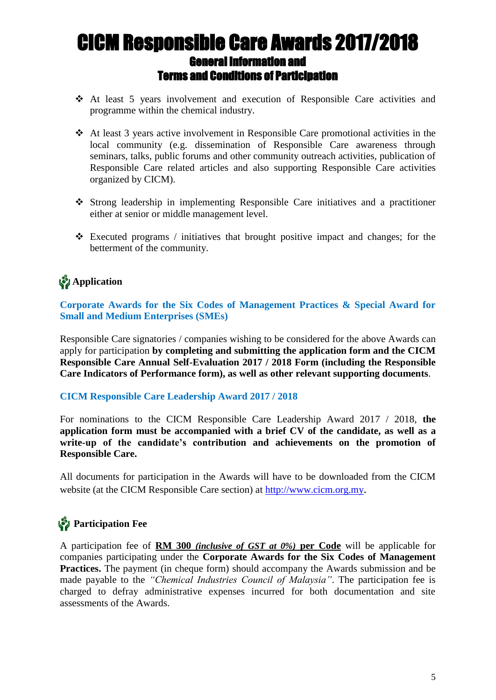- At least 5 years involvement and execution of Responsible Care activities and programme within the chemical industry.
- $\triangleleft$  At least 3 years active involvement in Responsible Care promotional activities in the local community (e.g. dissemination of Responsible Care awareness through seminars, talks, public forums and other community outreach activities, publication of Responsible Care related articles and also supporting Responsible Care activities organized by CICM).
- Strong leadership in implementing Responsible Care initiatives and a practitioner either at senior or middle management level.
- $\triangle$  Executed programs / initiatives that brought positive impact and changes; for the betterment of the community.

## **Application**

**Corporate Awards for the Six Codes of Management Practices & Special Award for Small and Medium Enterprises (SMEs)**

Responsible Care signatories / companies wishing to be considered for the above Awards can apply for participation **by completing and submitting the application form and the CICM Responsible Care Annual Self-Evaluation 2017 / 2018 Form (including the Responsible Care Indicators of Performance form), as well as other relevant supporting documents**.

#### **CICM Responsible Care Leadership Award 2017 / 2018**

For nominations to the CICM Responsible Care Leadership Award 2017 / 2018, **the application form must be accompanied with a brief CV of the candidate, as well as a write-up of the candidate's contribution and achievements on the promotion of Responsible Care.**

All documents for participation in the Awards will have to be downloaded from the CICM website (at the CICM Responsible Care section) at [http://www.cicm.org.my](http://www.cicm.org.my/).

### **Participation Fee** Ī

A participation fee of **RM 300** *(inclusive of GST at 0%)* **per Code** will be applicable for companies participating under the **Corporate Awards for the Six Codes of Management Practices.** The payment (in cheque form) should accompany the Awards submission and be made payable to the *"Chemical Industries Council of Malaysia"*. The participation fee is charged to defray administrative expenses incurred for both documentation and site assessments of the Awards.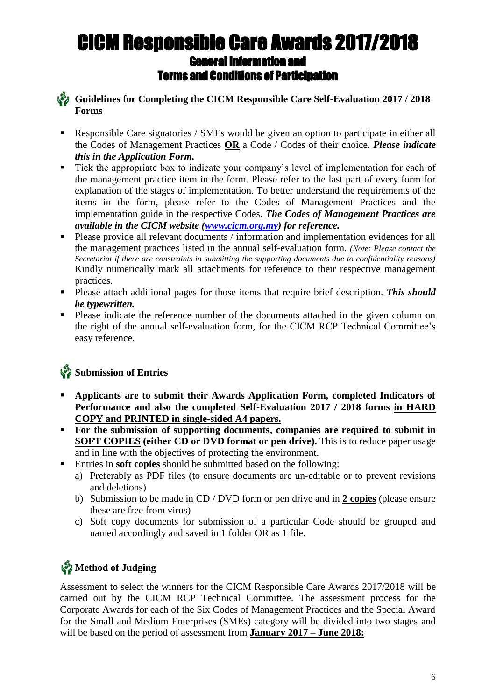**Guidelines for Completing the CICM Responsible Care Self-Evaluation 2017 / 2018 Forms**

- Responsible Care signatories / SMEs would be given an option to participate in either all the Codes of Management Practices **OR** a Code / Codes of their choice. *Please indicate this in the Application Form.*
- Tick the appropriate box to indicate your company's level of implementation for each of the management practice item in the form. Please refer to the last part of every form for explanation of the stages of implementation. To better understand the requirements of the items in the form, please refer to the Codes of Management Practices and the implementation guide in the respective Codes. *The Codes of Management Practices are available in the CICM website [\(www.cicm.org.my\)](http://www.cicm.org.my/) for reference.*
- **Please provide all relevant documents** / information and implementation evidences for all the management practices listed in the annual self-evaluation form. *(Note: Please contact the Secretariat if there are constraints in submitting the supporting documents due to confidentiality reasons)* Kindly numerically mark all attachments for reference to their respective management practices.
- Please attach additional pages for those items that require brief description. *This should be typewritten.*
- **Please indicate the reference number of the documents attached in the given column on** the right of the annual self-evaluation form, for the CICM RCP Technical Committee's easy reference.

## **Submission of Entries**

- **Applicants are to submit their Awards Application Form, completed Indicators of Performance and also the completed Self-Evaluation 2017 / 2018 forms in HARD COPY and PRINTED in single-sided A4 papers.**
- **For the submission of supporting documents, companies are required to submit in SOFT COPIES (either CD or DVD format or pen drive).** This is to reduce paper usage and in line with the objectives of protecting the environment.
	- Entries in **soft copies** should be submitted based on the following:
		- a) Preferably as PDF files (to ensure documents are un-editable or to prevent revisions and deletions)
		- b) Submission to be made in CD / DVD form or pen drive and in **2 copies** (please ensure these are free from virus)
		- c) Soft copy documents for submission of a particular Code should be grouped and named accordingly and saved in 1 folder OR as 1 file.

## **Method of Judging**

Assessment to select the winners for the CICM Responsible Care Awards 2017/2018 will be carried out by the CICM RCP Technical Committee. The assessment process for the Corporate Awards for each of the Six Codes of Management Practices and the Special Award for the Small and Medium Enterprises (SMEs) category will be divided into two stages and will be based on the period of assessment from **January 2017 – June 2018:**